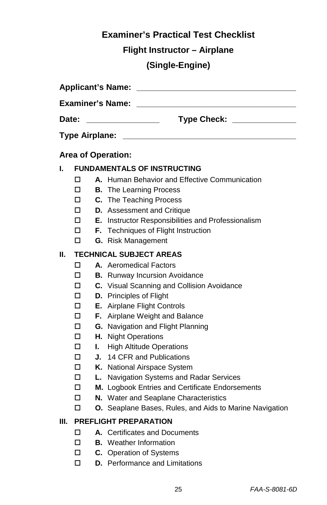# **Examiner's Practical Test Checklist**

## **Flight Instructor – Airplane**

## **(Single-Engine)**

| <b>Examiner's Name:</b>             |                                    |    |                                                         |
|-------------------------------------|------------------------------------|----|---------------------------------------------------------|
| Date:                               |                                    |    | Type Check: ______________                              |
| Type Airplane: ____________________ |                                    |    |                                                         |
| <b>Area of Operation:</b>           |                                    |    |                                                         |
| L                                   | <b>FUNDAMENTALS OF INSTRUCTING</b> |    |                                                         |
|                                     | п                                  |    | A. Human Behavior and Effective Communication           |
|                                     | п                                  |    | <b>B.</b> The Learning Process                          |
|                                     | п                                  |    | <b>C.</b> The Teaching Process                          |
|                                     | п                                  |    | D. Assessment and Critique                              |
|                                     | п                                  |    | E. Instructor Responsibilities and Professionalism      |
|                                     | п                                  |    | F. Techniques of Flight Instruction                     |
|                                     | п                                  |    | <b>G.</b> Risk Management                               |
| Ш.                                  | <b>TECHNICAL SUBJECT AREAS</b>     |    |                                                         |
|                                     | п                                  |    | A. Aeromedical Factors                                  |
|                                     | П                                  |    | <b>B.</b> Runway Incursion Avoidance                    |
|                                     | п                                  |    | C. Visual Scanning and Collision Avoidance              |
|                                     | □                                  |    | <b>D.</b> Principles of Flight                          |
|                                     | П                                  |    | E. Airplane Flight Controls                             |
|                                     | п                                  |    | F. Airplane Weight and Balance                          |
|                                     | п                                  |    | G. Navigation and Flight Planning                       |
|                                     | П                                  |    | H. Night Operations                                     |
|                                     | п                                  | L. | <b>High Altitude Operations</b>                         |
|                                     | п                                  |    | J. 14 CFR and Publications                              |
|                                     | п                                  |    | K. National Airspace System                             |
|                                     | п                                  | L. | Navigation Systems and Radar Services                   |
|                                     | п                                  |    | M. Logbook Entries and Certificate Endorsements         |
|                                     | п                                  |    | N. Water and Seaplane Characteristics                   |
|                                     | п                                  |    | O. Seaplane Bases, Rules, and Aids to Marine Navigation |
| Ш.                                  | PREFLIGHT PREPARATION              |    |                                                         |
|                                     | п                                  |    | A. Certificates and Documents                           |
|                                     | п                                  |    | <b>B.</b> Weather Information                           |

- **C.** Operation of Systems
- **D.** Performance and Limitations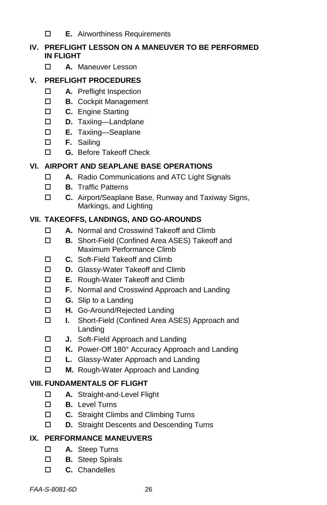**E.** Airworthiness Requirements

#### **IV. PREFLIGHT LESSON ON A MANEUVER TO BE PERFORMED IN FLIGHT**

**A.** Maneuver Lesson

## **V. PREFLIGHT PROCEDURES**

- **A.** Preflight Inspection
- **B.** Cockpit Management
- **C.** Engine Starting
- **D.** Taxiing—Landplane
- **E.** Taxiing—Seaplane
- **F.** Sailing
- **G.** Before Takeoff Check

## **VI. AIRPORT AND SEAPLANE BASE OPERATIONS**

- **A.** Radio Communications and ATC Light Signals
- **B.** Traffic Patterns
- **C.** Airport/Seaplane Base, Runway and Taxiway Signs, Markings, and Lighting

## **VII. TAKEOFFS, LANDINGS, AND GO-AROUNDS**

- **A.** Normal and Crosswind Takeoff and Climb
- **B.** Short-Field (Confined Area ASES) Takeoff and Maximum Performance Climb
- **C.** Soft-Field Takeoff and Climb
- **D.** Glassy-Water Takeoff and Climb
- **E.** Rough-Water Takeoff and Climb
- **F.** Normal and Crosswind Approach and Landing
- **G.** Slip to a Landing
- **H.** Go-Around/Rejected Landing
- **I.** Short-Field (Confined Area ASES) Approach and Landing
- **J.** Soft-Field Approach and Landing
- **K.** Power-Off 180° Accuracy Approach and Landing
- **L.** Glassy-Water Approach and Landing
- **M.** Rough-Water Approach and Landing

## **VIII. FUNDAMENTALS OF FLIGHT**

- **A.** Straight-and-Level Flight
- **B.** Level Turns
- **C.** Straight Climbs and Climbing Turns
- **D.** Straight Descents and Descending Turns

## **IX. PERFORMANCE MANEUVERS**

- **A.** Steep Turns
- **B.** Steep Spirals
- **C.** Chandelles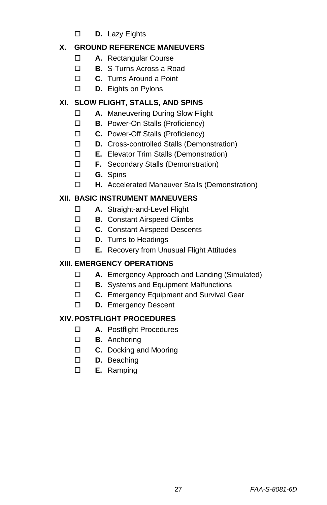**D.** Lazy Eights

### **X. GROUND REFERENCE MANEUVERS**

- **A.** Rectangular Course
- **B.** S-Turns Across a Road
- **C.** Turns Around a Point
- **D.** Eights on Pylons

## **XI. SLOW FLIGHT, STALLS, AND SPINS**

- **A.** Maneuvering During Slow Flight
- **B.** Power-On Stalls (Proficiency)
- **C.** Power-Off Stalls (Proficiency)
- **D.** Cross-controlled Stalls (Demonstration)
- **E.** Elevator Trim Stalls (Demonstration)
- **F.** Secondary Stalls (Demonstration)
- **G.** Spins
- **H.** Accelerated Maneuver Stalls (Demonstration)

### **XII. BASIC INSTRUMENT MANEUVERS**

- **A.** Straight-and-Level Flight
- **B.** Constant Airspeed Climbs
- **C.** Constant Airspeed Descents
- **D.** Turns to Headings
- **E.** Recovery from Unusual Flight Attitudes

### **XIII. EMERGENCY OPERATIONS**

- **A.** Emergency Approach and Landing (Simulated)
- **B.** Systems and Equipment Malfunctions
- **C.** Emergency Equipment and Survival Gear
- **D.** Emergency Descent

## **XIV. POSTFLIGHT PROCEDURES**

- **A.** Postflight Procedures
- **B.** Anchoring
- **C.** Docking and Mooring
- **D.** Beaching
- **E.** Ramping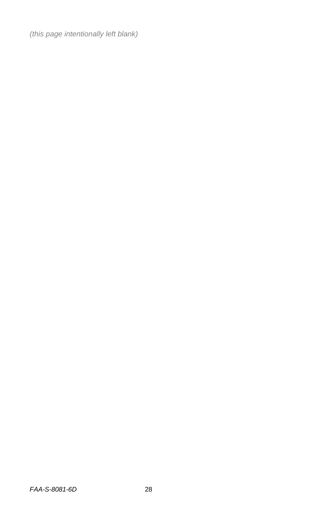*(this page intentionally left blank)*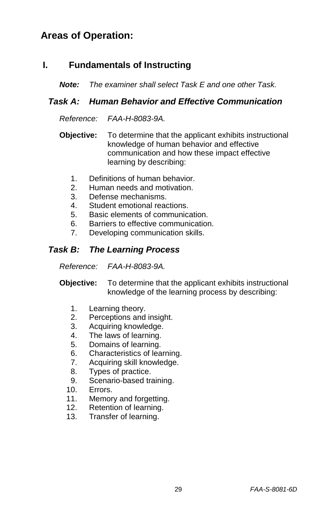# **Areas of Operation:**

# **I. Fundamentals of Instructing**

#### *Note: The examiner shall select Task E and one other Task.*

### *Task A: Human Behavior and Effective Communication*

*Reference: FAA-H-8083-9A.*

- **Objective:** To determine that the applicant exhibits instructional knowledge of human behavior and effective communication and how these impact effective learning by describing:
	- 1. Definitions of human behavior.
	- 2. Human needs and motivation.
	- 3. Defense mechanisms.
	- 4. Student emotional reactions.
	- 5. Basic elements of communication.
	- 6. Barriers to effective communication.<br>7. Developing communication skills.
	- Developing communication skills.

### *Task B: The Learning Process*

*Reference: FAA-H-8083-9A.*

**Objective:** To determine that the applicant exhibits instructional knowledge of the learning process by describing:

- 1. Learning theory.
- 2. Perceptions and insight.
- 3. Acquiring knowledge.
- 4. The laws of learning.
- 5. Domains of learning.
- 6. Characteristics of learning.
- 7. Acquiring skill knowledge.
- 8. Types of practice.
- 9. Scenario-based training.<br>10. Errors.
- Errors.
- 11. Memory and forgetting.<br>12. Retention of learning.
- Retention of learning.
- 13. Transfer of learning.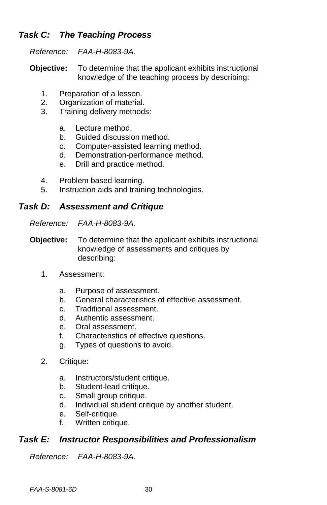## *Task C: The Teaching Process*

*Reference: FAA-H-8083-9A.*

**Objective:** To determine that the applicant exhibits instructional knowledge of the teaching process by describing:

- 1. Preparation of a lesson.
- 2. Organization of material.
- 3. Training delivery methods:
	- a. Lecture method.
	- b. Guided discussion method.
	- c. Computer-assisted learning method.
	- d. Demonstration-performance method.
	- e. Drill and practice method.
- 4. Problem based learning.
- 5. Instruction aids and training technologies.

#### *Task D: Assessment and Critique*

*Reference: FAA-H-8083-9A.*

- **Objective:** To determine that the applicant exhibits instructional knowledge of assessments and critiques by describing:
	- 1. Assessment:
		- a. Purpose of assessment.
		- b. General characteristics of effective assessment.
		- c. Traditional assessment.
		- d. Authentic assessment.
		- e. Oral assessment.
		- f. Characteristics of effective questions.
		- g. Types of questions to avoid.
	- 2. Critique:
		- a. Instructors/student critique.
		- b. Student-lead critique.
		- c. Small group critique.
		- d. Individual student critique by another student.
		- e. Self-critique.
		- f. Written critique.

### *Task E: Instructor Responsibilities and Professionalism*

*Reference: FAA-H-8083-9A.*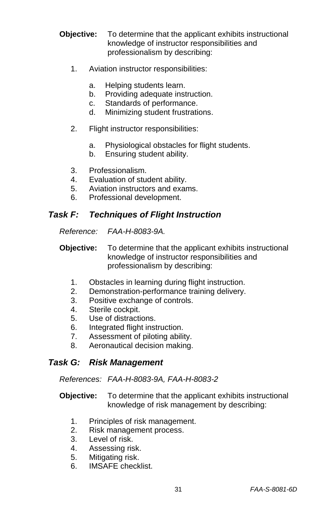- **Objective:** To determine that the applicant exhibits instructional knowledge of instructor responsibilities and professionalism by describing:
	- 1. Aviation instructor responsibilities:
		- a. Helping students learn.
		- b. Providing adequate instruction.
		- c. Standards of performance.
		- d. Minimizing student frustrations.
	- 2. Flight instructor responsibilities:
		- a. Physiological obstacles for flight students.
		- b. Ensuring student ability.
	- 3. Professionalism.
	- 4. Evaluation of student ability.
	- 5. Aviation instructors and exams.
	- 6. Professional development.

### *Task F: Techniques of Flight Instruction*

*Reference: FAA-H-8083-9A.*

- **Objective:** To determine that the applicant exhibits instructional knowledge of instructor responsibilities and professionalism by describing:
	- 1. Obstacles in learning during flight instruction.
	- 2. Demonstration-performance training delivery.
	- 3. Positive exchange of controls.
	- 4. Sterile cockpit.
	- 5. Use of distractions.
	- 6. Integrated flight instruction.
	- 7. Assessment of piloting ability.
	- 8. Aeronautical decision making.

### *Task G: Risk Management*

*References: FAA-H-8083-9A, FAA-H-8083-2*

**Objective:** To determine that the applicant exhibits instructional knowledge of risk management by describing:

- 1. Principles of risk management.
- 2. Risk management process.
- 3. Level of risk.<br>4. Assessing ris
- 4. Assessing risk.
- 5. Mitigating risk.
- 6. IMSAFE checklist.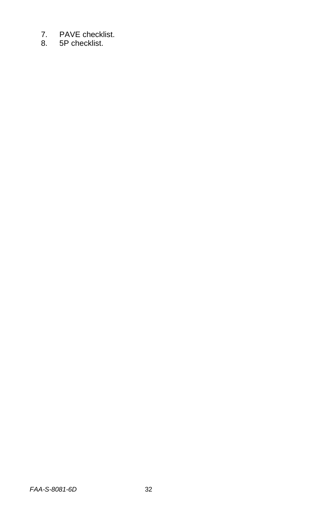- 7. PAVE checklist.
- 8. 5P checklist.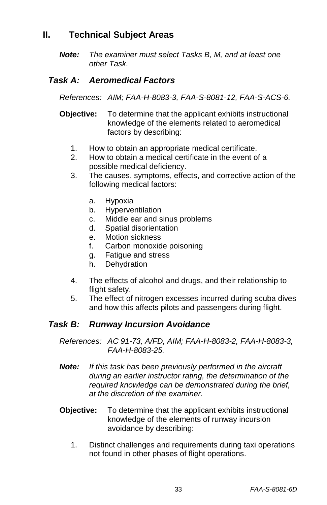# **II. Technical Subject Areas**

*Note: The examiner must select Tasks B, M, and at least one other Task.*

## *Task A: Aeromedical Factors*

*References: AIM; FAA-H-8083-3, FAA-S-8081-12, FAA-S-ACS-6.*

- **Objective:** To determine that the applicant exhibits instructional knowledge of the elements related to aeromedical factors by describing:
	- 1. How to obtain an appropriate medical certificate.
	- 2. How to obtain a medical certificate in the event of a possible medical deficiency.
	- 3. The causes, symptoms, effects, and corrective action of the following medical factors:
		- a. Hypoxia
		- b. Hyperventilation
		- c. Middle ear and sinus problems
		- d. Spatial disorientation
		- e. Motion sickness
		- f. Carbon monoxide poisoning
		- g. Fatigue and stress
		- h. Dehydration
	- 4. The effects of alcohol and drugs, and their relationship to flight safety.
	- 5. The effect of nitrogen excesses incurred during scuba dives and how this affects pilots and passengers during flight.

## *Task B: Runway Incursion Avoidance*

*References: AC 91-73, A/FD, AIM; FAA-H-8083-2, FAA-H-8083-3, FAA-H-8083-25.*

- *Note: If this task has been previously performed in the aircraft during an earlier instructor rating, the determination of the required knowledge can be demonstrated during the brief, at the discretion of the examiner.*
- **Objective:** To determine that the applicant exhibits instructional knowledge of the elements of runway incursion avoidance by describing:
	- 1. Distinct challenges and requirements during taxi operations not found in other phases of flight operations.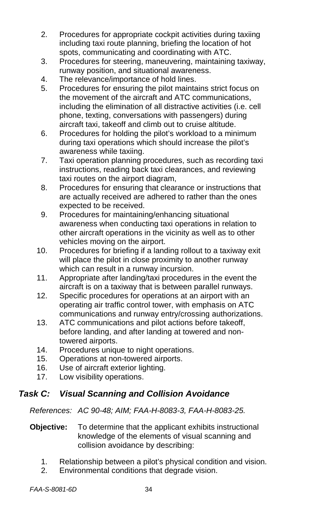- 2. Procedures for appropriate cockpit activities during taxiing including taxi route planning, briefing the location of hot spots, communicating and coordinating with ATC.
- 3. Procedures for steering, maneuvering, maintaining taxiway, runway position, and situational awareness.
- 4. The relevance/importance of hold lines.
- 5. Procedures for ensuring the pilot maintains strict focus on the movement of the aircraft and ATC communications, including the elimination of all distractive activities (i.e. cell phone, texting, conversations with passengers) during aircraft taxi, takeoff and climb out to cruise altitude.
- 6. Procedures for holding the pilot's workload to a minimum during taxi operations which should increase the pilot's awareness while taxiing.
- 7. Taxi operation planning procedures, such as recording taxi instructions, reading back taxi clearances, and reviewing taxi routes on the airport diagram,
- 8. Procedures for ensuring that clearance or instructions that are actually received are adhered to rather than the ones expected to be received.
- 9. Procedures for maintaining/enhancing situational awareness when conducting taxi operations in relation to other aircraft operations in the vicinity as well as to other vehicles moving on the airport.
- 10. Procedures for briefing if a landing rollout to a taxiway exit will place the pilot in close proximity to another runway which can result in a runway incursion.
- 11. Appropriate after landing/taxi procedures in the event the aircraft is on a taxiway that is between parallel runways.
- 12. Specific procedures for operations at an airport with an operating air traffic control tower, with emphasis on ATC communications and runway entry/crossing authorizations.
- 13. ATC communications and pilot actions before takeoff, before landing, and after landing at towered and nontowered airports.
- 14. Procedures unique to night operations.<br>15. Operations at non-towered airports.
- Operations at non-towered airports.
- 16. Use of aircraft exterior lighting.
- 17. Low visibility operations.

## *Task C: Visual Scanning and Collision Avoidance*

*References: AC 90-48; AIM; FAA-H-8083-3, FAA-H-8083-25.*

#### **Objective:** To determine that the applicant exhibits instructional knowledge of the elements of visual scanning and collision avoidance by describing:

- 1. Relationship between a pilot's physical condition and vision.
- 2. Environmental conditions that degrade vision.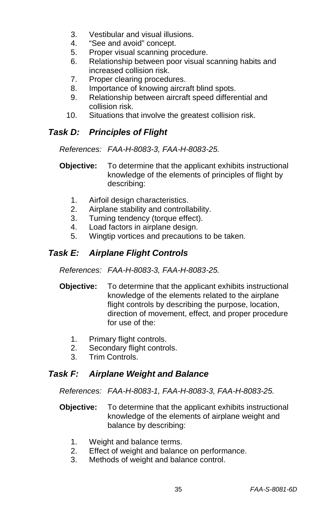- 3. Vestibular and visual illusions.
- 4. "See and avoid" concept.
- 5. Proper visual scanning procedure.
- 6. Relationship between poor visual scanning habits and increased collision risk.
- 7. Proper clearing procedures.
- 8. Importance of knowing aircraft blind spots.
- 9. Relationship between aircraft speed differential and collision risk.
- 10. Situations that involve the greatest collision risk.

## *Task D: Principles of Flight*

*References: FAA-H-8083-3, FAA-H-8083-25.*

- **Objective:** To determine that the applicant exhibits instructional knowledge of the elements of principles of flight by describing:
	- 1. Airfoil design characteristics.
	- 2. Airplane stability and controllability.<br>3. Turning tendency (torque effect).
	- Turning tendency (torque effect).
	- 4. Load factors in airplane design.
	- 5. Wingtip vortices and precautions to be taken.

### *Task E: Airplane Flight Controls*

*References: FAA-H-8083-3, FAA-H-8083-25.*

- **Objective:** To determine that the applicant exhibits instructional knowledge of the elements related to the airplane flight controls by describing the purpose, location, direction of movement, effect, and proper procedure for use of the:
	- 1. Primary flight controls.
	- 2. Secondary flight controls.
	- 3. Trim Controls.

### *Task F: Airplane Weight and Balance*

*References: FAA-H-8083-1, FAA-H-8083-3, FAA-H-8083-25.*

- **Objective:** To determine that the applicant exhibits instructional knowledge of the elements of airplane weight and balance by describing:
	- 1. Weight and balance terms.
	- 2. Effect of weight and balance on performance.
	- 3. Methods of weight and balance control.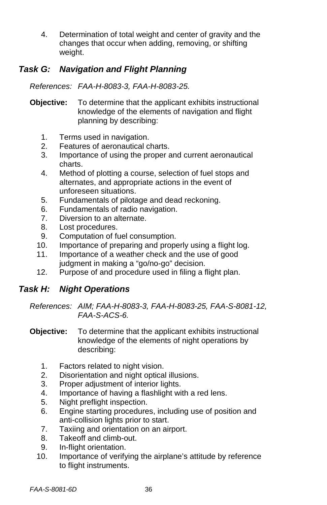4. Determination of total weight and center of gravity and the changes that occur when adding, removing, or shifting weight.

# *Task G: Navigation and Flight Planning*

*References: FAA-H-8083-3, FAA-H-8083-25.*

**Objective:** To determine that the applicant exhibits instructional knowledge of the elements of navigation and flight planning by describing:

- 1. Terms used in navigation.<br>2. Features of aeronautical c
- 2. Features of aeronautical charts.<br>3. Importance of using the proper a
- Importance of using the proper and current aeronautical charts.
- 4. Method of plotting a course, selection of fuel stops and alternates, and appropriate actions in the event of unforeseen situations.
- 5. Fundamentals of pilotage and dead reckoning.
- 6. Fundamentals of radio navigation.
- 7. Diversion to an alternate.
- 8. Lost procedures.
- 9. Computation of fuel consumption.
- 10. Importance of preparing and properly using a flight log.
- 11. Importance of a weather check and the use of good judgment in making a "go/no-go" decision.
- 12. Purpose of and procedure used in filing a flight plan.

## *Task H: Night Operations*

*References: AIM; FAA-H-8083-3, FAA-H-8083-25, FAA-S-8081-12, FAA-S-ACS-6.*

- **Objective:** To determine that the applicant exhibits instructional knowledge of the elements of night operations by describing:
	- 1. Factors related to night vision.
	- 2. Disorientation and night optical illusions.<br>3. Proper adjustment of interior lights.
	- Proper adjustment of interior lights.
	- 4. Importance of having a flashlight with a red lens.
	- 5. Night preflight inspection.
	- 6. Engine starting procedures, including use of position and anti-collision lights prior to start.
	- 7. Taxiing and orientation on an airport.
	- 8. Takeoff and climb-out.
	- 9. In-flight orientation.
	- 10. Importance of verifying the airplane's attitude by reference to flight instruments.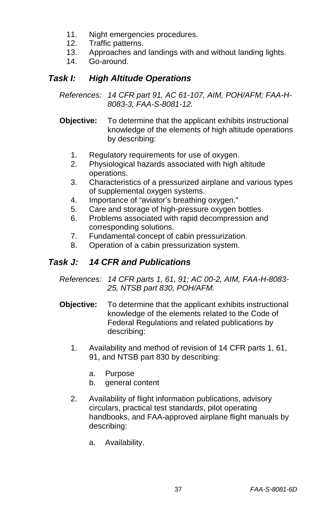- 11. Night emergencies procedures.
- 12. Traffic patterns.
- 13. Approaches and landings with and without landing lights.
- 14. Go-around.

#### *Task I: High Altitude Operations*

*References: 14 CFR part 91, AC 61-107, AIM, POH/AFM; FAA-H-8083-3, FAA-S-8081-12.*

- **Objective:** To determine that the applicant exhibits instructional knowledge of the elements of high altitude operations by describing:
	- 1. Regulatory requirements for use of oxygen.
	- 2. Physiological hazards associated with high altitude operations.
	- 3. Characteristics of a pressurized airplane and various types of supplemental oxygen systems.
	- 4. Importance of "aviator's breathing oxygen."
	- 5. Care and storage of high-pressure oxygen bottles.
	- 6. Problems associated with rapid decompression and corresponding solutions.
	- 7. Fundamental concept of cabin pressurization.
	- 8. Operation of a cabin pressurization system.

#### *Task J: 14 CFR and Publications*

*References: 14 CFR parts 1, 61, 91; AC 00-2, AIM, FAA-H-8083- 25, NTSB part 830, POH/AFM.*

- **Objective:** To determine that the applicant exhibits instructional knowledge of the elements related to the Code of Federal Regulations and related publications by describing:
	- 1. Availability and method of revision of 14 CFR parts 1, 61, 91, and NTSB part 830 by describing:
		- a. Purpose
		- b. general content
	- 2. Availability of flight information publications, advisory circulars, practical test standards, pilot operating handbooks, and FAA-approved airplane flight manuals by describing:
		- a. Availability.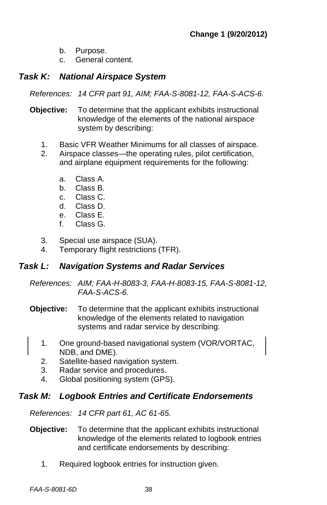- b. Purpose.
- c. General content.

## *Task K: National Airspace System*

*References: 14 CFR part 91, AIM; FAA-S-8081-12, FAA-S-ACS-6.*

- **Objective:** To determine that the applicant exhibits instructional knowledge of the elements of the national airspace system by describing:
	- 1. Basic VFR Weather Minimums for all classes of airspace.<br>2. Airspace classes—the operating rules, pilot certification
	- Airspace classes—the operating rules, pilot certification, and airplane equipment requirements for the following:
		- a. Class A.
		- b. Class B.
		- c. Class C.
		- d. Class D.
		- e. Class E.
		- f. Class G.
	- 3. Special use airspace (SUA).
	- 4. Temporary flight restrictions (TFR).

### *Task L: Navigation Systems and Radar Services*

*References: AIM; FAA-H-8083-3, FAA-H-8083-15, FAA-S-8081-12, FAA-S-ACS-6.*

- **Objective:** To determine that the applicant exhibits instructional knowledge of the elements related to navigation systems and radar service by describing:
	- 1. One ground-based navigational system (VOR/VORTAC, NDB, and DME).
	- 2. Satellite-based navigation system.<br>3. Radar service and procedures.
	- Radar service and procedures.
	- 4. Global positioning system (GPS).

### *Task M: Logbook Entries and Certificate Endorsements*

*References: 14 CFR part 61, AC 61-65.*

- **Objective:** To determine that the applicant exhibits instructional knowledge of the elements related to logbook entries and certificate endorsements by describing:
	- 1. Required logbook entries for instruction given.